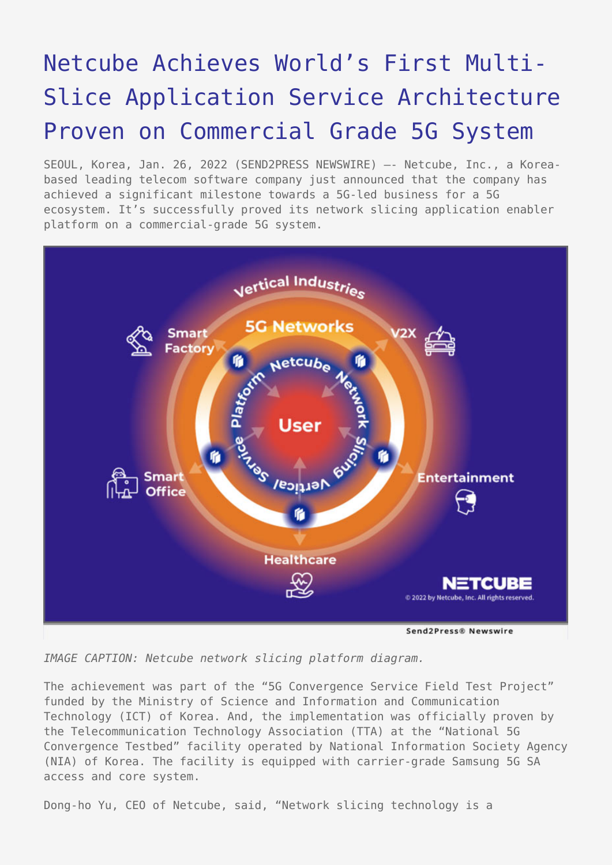## [Netcube Achieves World's First Multi-](https://www.send2press.com/wire/netcube-achieves-worlds-first-multi-slice-application-service-architecture-proven-on-commercial-grade-5g-system/)[Slice Application Service Architecture](https://www.send2press.com/wire/netcube-achieves-worlds-first-multi-slice-application-service-architecture-proven-on-commercial-grade-5g-system/) [Proven on Commercial Grade 5G System](https://www.send2press.com/wire/netcube-achieves-worlds-first-multi-slice-application-service-architecture-proven-on-commercial-grade-5g-system/)

SEOUL, Korea, Jan. 26, 2022 (SEND2PRESS NEWSWIRE) –- Netcube, Inc., a Koreabased leading telecom software company just announced that the company has achieved a significant milestone towards a 5G-led business for a 5G ecosystem. It's successfully proved its network slicing application enabler platform on a commercial-grade 5G system.



*IMAGE CAPTION: Netcube network slicing platform diagram.*

The achievement was part of the "5G Convergence Service Field Test Project" funded by the Ministry of Science and Information and Communication Technology (ICT) of Korea. And, the implementation was officially proven by the Telecommunication Technology Association (TTA) at the "National 5G Convergence Testbed" facility operated by National Information Society Agency (NIA) of Korea. The facility is equipped with carrier-grade Samsung 5G SA access and core system.

Dong-ho Yu, CEO of Netcube, said, "Network slicing technology is a